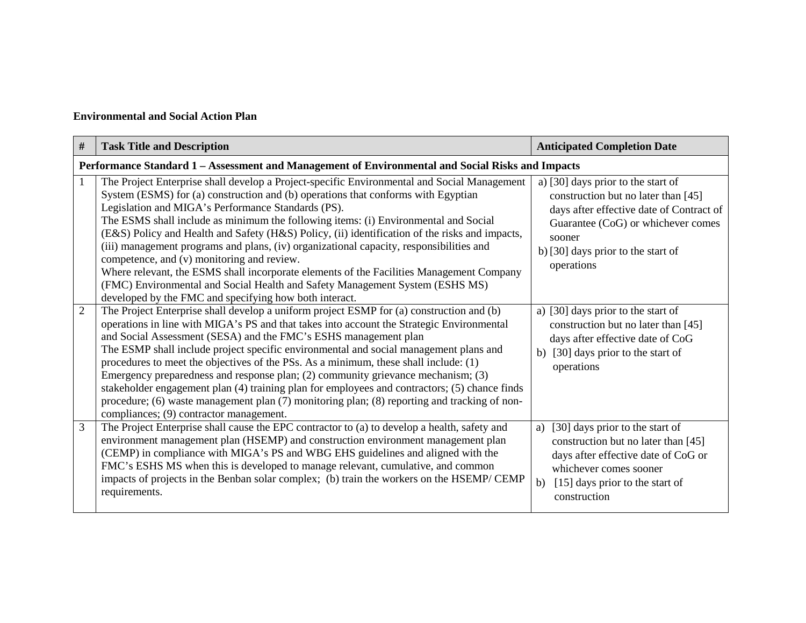## **Environmental and Social Action Plan**

| #              | <b>Task Title and Description</b>                                                                                                                                                                                                                                                                                                                                                                                                                                                                                                                                                                                                                                                                                                                                                                              | <b>Anticipated Completion Date</b>                                                                                                                                                                                        |  |  |  |  |
|----------------|----------------------------------------------------------------------------------------------------------------------------------------------------------------------------------------------------------------------------------------------------------------------------------------------------------------------------------------------------------------------------------------------------------------------------------------------------------------------------------------------------------------------------------------------------------------------------------------------------------------------------------------------------------------------------------------------------------------------------------------------------------------------------------------------------------------|---------------------------------------------------------------------------------------------------------------------------------------------------------------------------------------------------------------------------|--|--|--|--|
|                | Performance Standard 1 - Assessment and Management of Environmental and Social Risks and Impacts                                                                                                                                                                                                                                                                                                                                                                                                                                                                                                                                                                                                                                                                                                               |                                                                                                                                                                                                                           |  |  |  |  |
| $\mathbf{1}$   | The Project Enterprise shall develop a Project-specific Environmental and Social Management<br>System (ESMS) for (a) construction and (b) operations that conforms with Egyptian<br>Legislation and MIGA's Performance Standards (PS).<br>The ESMS shall include as minimum the following items: (i) Environmental and Social<br>(E&S) Policy and Health and Safety (H&S) Policy, (ii) identification of the risks and impacts,<br>(iii) management programs and plans, (iv) organizational capacity, responsibilities and<br>competence, and (v) monitoring and review.<br>Where relevant, the ESMS shall incorporate elements of the Facilities Management Company<br>(FMC) Environmental and Social Health and Safety Management System (ESHS MS)<br>developed by the FMC and specifying how both interact. | a) [30] days prior to the start of<br>construction but no later than [45]<br>days after effective date of Contract of<br>Guarantee (CoG) or whichever comes<br>sooner<br>b) [30] days prior to the start of<br>operations |  |  |  |  |
| $\overline{2}$ | The Project Enterprise shall develop a uniform project ESMP for (a) construction and (b)<br>operations in line with MIGA's PS and that takes into account the Strategic Environmental<br>and Social Assessment (SESA) and the FMC's ESHS management plan<br>The ESMP shall include project specific environmental and social management plans and<br>procedures to meet the objectives of the PSs. As a minimum, these shall include: (1)<br>Emergency preparedness and response plan; (2) community grievance mechanism; (3)<br>stakeholder engagement plan (4) training plan for employees and contractors; (5) chance finds<br>procedure; (6) waste management plan (7) monitoring plan; (8) reporting and tracking of non-<br>compliances; (9) contractor management.                                      | a) [30] days prior to the start of<br>construction but no later than [45]<br>days after effective date of CoG<br>[30] days prior to the start of<br>b)<br>operations                                                      |  |  |  |  |
| $\overline{3}$ | The Project Enterprise shall cause the EPC contractor to (a) to develop a health, safety and<br>environment management plan (HSEMP) and construction environment management plan<br>(CEMP) in compliance with MIGA's PS and WBG EHS guidelines and aligned with the<br>FMC's ESHS MS when this is developed to manage relevant, cumulative, and common<br>impacts of projects in the Benban solar complex; (b) train the workers on the HSEMP/CEMP<br>requirements.                                                                                                                                                                                                                                                                                                                                            | [30] days prior to the start of<br>a)<br>construction but no later than [45]<br>days after effective date of CoG or<br>whichever comes sooner<br>[15] days prior to the start of<br>b)<br>construction                    |  |  |  |  |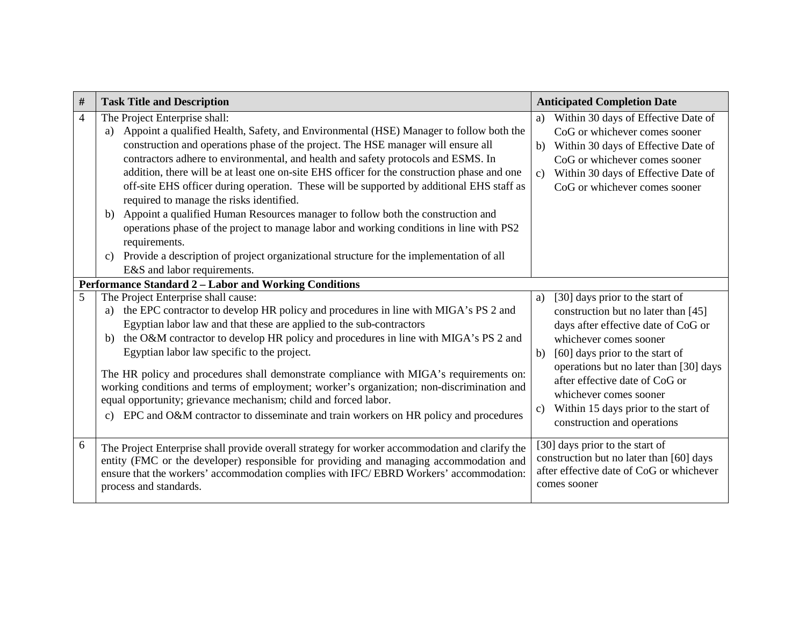| $\#$ | <b>Task Title and Description</b>                                                                                                                                                                                                                                                                                                                                                                                                                                                                                                                                                                                                                                                                                                                                                                                                                               | <b>Anticipated Completion Date</b>                                                                                                                                                                                                                                                                                                                                                    |
|------|-----------------------------------------------------------------------------------------------------------------------------------------------------------------------------------------------------------------------------------------------------------------------------------------------------------------------------------------------------------------------------------------------------------------------------------------------------------------------------------------------------------------------------------------------------------------------------------------------------------------------------------------------------------------------------------------------------------------------------------------------------------------------------------------------------------------------------------------------------------------|---------------------------------------------------------------------------------------------------------------------------------------------------------------------------------------------------------------------------------------------------------------------------------------------------------------------------------------------------------------------------------------|
| 4    | The Project Enterprise shall:<br>Appoint a qualified Health, Safety, and Environmental (HSE) Manager to follow both the<br>a)<br>construction and operations phase of the project. The HSE manager will ensure all<br>contractors adhere to environmental, and health and safety protocols and ESMS. In<br>addition, there will be at least one on-site EHS officer for the construction phase and one<br>off-site EHS officer during operation. These will be supported by additional EHS staff as<br>required to manage the risks identified.<br>Appoint a qualified Human Resources manager to follow both the construction and<br>b)<br>operations phase of the project to manage labor and working conditions in line with PS2<br>requirements.<br>Provide a description of project organizational structure for the implementation of all<br>$\mathbf{c}$ | Within 30 days of Effective Date of<br>a)<br>CoG or whichever comes sooner<br>Within 30 days of Effective Date of<br>b)<br>CoG or whichever comes sooner<br>Within 30 days of Effective Date of<br>$\mathbf{c}$<br>CoG or whichever comes sooner                                                                                                                                      |
|      | E&S and labor requirements.                                                                                                                                                                                                                                                                                                                                                                                                                                                                                                                                                                                                                                                                                                                                                                                                                                     |                                                                                                                                                                                                                                                                                                                                                                                       |
|      | Performance Standard 2 - Labor and Working Conditions                                                                                                                                                                                                                                                                                                                                                                                                                                                                                                                                                                                                                                                                                                                                                                                                           |                                                                                                                                                                                                                                                                                                                                                                                       |
| 5    | The Project Enterprise shall cause:<br>the EPC contractor to develop HR policy and procedures in line with MIGA's PS 2 and<br>a)<br>Egyptian labor law and that these are applied to the sub-contractors<br>the O&M contractor to develop HR policy and procedures in line with MIGA's PS 2 and<br>b)<br>Egyptian labor law specific to the project.<br>The HR policy and procedures shall demonstrate compliance with MIGA's requirements on:<br>working conditions and terms of employment; worker's organization; non-discrimination and<br>equal opportunity; grievance mechanism; child and forced labor.<br>EPC and O&M contractor to disseminate and train workers on HR policy and procedures                                                                                                                                                           | [30] days prior to the start of<br>a)<br>construction but no later than [45]<br>days after effective date of CoG or<br>whichever comes sooner<br>[60] days prior to the start of<br>b)<br>operations but no later than [30] days<br>after effective date of CoG or<br>whichever comes sooner<br>Within 15 days prior to the start of<br>$\mathbf{c}$ )<br>construction and operations |
| 6    | The Project Enterprise shall provide overall strategy for worker accommodation and clarify the<br>entity (FMC or the developer) responsible for providing and managing accommodation and<br>ensure that the workers' accommodation complies with IFC/EBRD Workers' accommodation:<br>process and standards.                                                                                                                                                                                                                                                                                                                                                                                                                                                                                                                                                     | [30] days prior to the start of<br>construction but no later than [60] days<br>after effective date of CoG or whichever<br>comes sooner                                                                                                                                                                                                                                               |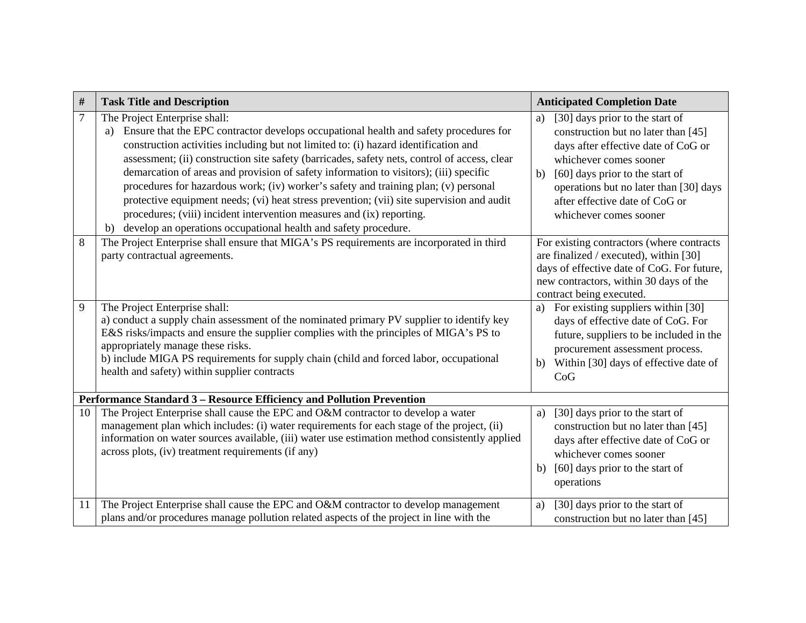| #  | <b>Task Title and Description</b>                                                                                                                                                                                                                                                                                                                                                                                                                                                                                                                                                                                                                                                                                                               | <b>Anticipated Completion Date</b>                                                                                                                                                                                                                                                           |
|----|-------------------------------------------------------------------------------------------------------------------------------------------------------------------------------------------------------------------------------------------------------------------------------------------------------------------------------------------------------------------------------------------------------------------------------------------------------------------------------------------------------------------------------------------------------------------------------------------------------------------------------------------------------------------------------------------------------------------------------------------------|----------------------------------------------------------------------------------------------------------------------------------------------------------------------------------------------------------------------------------------------------------------------------------------------|
| 7  | The Project Enterprise shall:<br>Ensure that the EPC contractor develops occupational health and safety procedures for<br>a)<br>construction activities including but not limited to: (i) hazard identification and<br>assessment; (ii) construction site safety (barricades, safety nets, control of access, clear<br>demarcation of areas and provision of safety information to visitors); (iii) specific<br>procedures for hazardous work; (iv) worker's safety and training plan; (v) personal<br>protective equipment needs; (vi) heat stress prevention; (vii) site supervision and audit<br>procedures; (viii) incident intervention measures and (ix) reporting.<br>b) develop an operations occupational health and safety procedure. | [30] days prior to the start of<br>a)<br>construction but no later than [45]<br>days after effective date of CoG or<br>whichever comes sooner<br>[60] days prior to the start of<br>b)<br>operations but no later than [30] days<br>after effective date of CoG or<br>whichever comes sooner |
| 8  | The Project Enterprise shall ensure that MIGA's PS requirements are incorporated in third<br>party contractual agreements.                                                                                                                                                                                                                                                                                                                                                                                                                                                                                                                                                                                                                      | For existing contractors (where contracts<br>are finalized / executed), within [30]<br>days of effective date of CoG. For future,<br>new contractors, within 30 days of the<br>contract being executed.                                                                                      |
| 9  | The Project Enterprise shall:<br>a) conduct a supply chain assessment of the nominated primary PV supplier to identify key<br>E&S risks/impacts and ensure the supplier complies with the principles of MIGA's PS to<br>appropriately manage these risks.<br>b) include MIGA PS requirements for supply chain (child and forced labor, occupational<br>health and safety) within supplier contracts                                                                                                                                                                                                                                                                                                                                             | For existing suppliers within [30]<br>a)<br>days of effective date of CoG. For<br>future, suppliers to be included in the<br>procurement assessment process.<br>Within [30] days of effective date of<br>b)<br>CoG                                                                           |
|    | Performance Standard 3 - Resource Efficiency and Pollution Prevention                                                                                                                                                                                                                                                                                                                                                                                                                                                                                                                                                                                                                                                                           |                                                                                                                                                                                                                                                                                              |
| 10 | The Project Enterprise shall cause the EPC and O&M contractor to develop a water<br>management plan which includes: (i) water requirements for each stage of the project, (ii)<br>information on water sources available, (iii) water use estimation method consistently applied<br>across plots, (iv) treatment requirements (if any)                                                                                                                                                                                                                                                                                                                                                                                                          | [30] days prior to the start of<br>a)<br>construction but no later than [45]<br>days after effective date of CoG or<br>whichever comes sooner<br>[60] days prior to the start of<br>b)<br>operations                                                                                         |
| 11 | The Project Enterprise shall cause the EPC and O&M contractor to develop management<br>plans and/or procedures manage pollution related aspects of the project in line with the                                                                                                                                                                                                                                                                                                                                                                                                                                                                                                                                                                 | [30] days prior to the start of<br>a)<br>construction but no later than [45]                                                                                                                                                                                                                 |